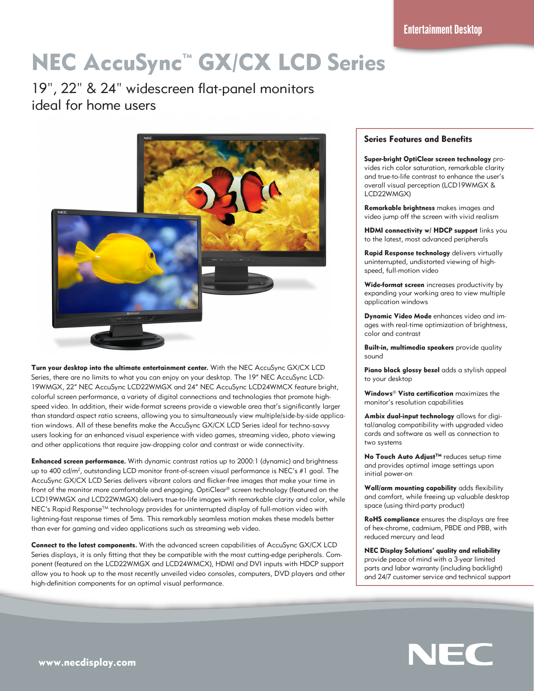## NEC AccuSync<sup>™</sup> GX/CX LCD Series

19", 22" & 24" widescreen flat-panel monitors ideal for home users



Turn your desktop into the ultimate entertainment center. With the NEC AccuSync GX/CX LCD Series, there are no limits to what you can enjoy on your desktop. The 19" NEC AccuSync LCD-19WMGX, 22" NEC AccuSync LCD22WMGX and 24" NEC AccuSync LCD24WMCX feature bright, colorful screen performance, a variety of digital connections and technologies that promote highspeed video. In addition, their wide-format screens provide a viewable area that's significantly larger than standard aspect ratio screens, allowing you to simultaneously view multiple/side-by-side application windows. All of these benefits make the AccuSync GX/CX LCD Series ideal for techno-savvy users looking for an enhanced visual experience with video games, streaming video, photo viewing and other applications that require jaw-dropping color and contrast or wide connectivity.

Enhanced screen performance. With dynamic contrast ratios up to 2000:1 (dynamic) and brightness up to 400 cd/m2 , outstanding LCD monitor front-of-screen visual performance is NEC's #1 goal. The AccuSync GX/CX LCD Series delivers vibrant colors and flicker-free images that make your time in front of the monitor more comfortable and engaging. OptiClear® screen technology (featured on the LCD19WMGX and LCD22WMGX) delivers true-to-life images with remarkable clarity and color, while NEC's Rapid Response™ technology provides for uninterrupted display of full-motion video with lightning-fast response times of 5ms. This remarkably seamless motion makes these models better than ever for gaming and video applications such as streaming web video.

Connect to the latest components. With the advanced screen capabilities of AccuSync GX/CX LCD Series displays, it is only fitting that they be compatible with the most cutting-edge peripherals. Component (featured on the LCD22WMGX and LCD24WMCX), HDMI and DVI inputs with HDCP support allow you to hook up to the most recently unveiled video consoles, computers, DVD players and other high-definition components for an optimal visual performance.

## Series Features and Benefits

Super-bright OptiClear screen technology provides rich color saturation, remarkable clarity and true-to-life contrast to enhance the user's overall visual perception (LCD19WMGX & LCD22WMGX)

Remarkable brightness makes images and video jump off the screen with vivid realism

HDMI connectivity w/ HDCP support links you to the latest, most advanced peripherals

Rapid Response technology delivers virtually uninterrupted, undistorted viewing of highspeed, full-motion video

Wide-format screen increases productivity by expanding your working area to view multiple application windows

Dynamic Video Mode enhances video and images with real-time optimization of brightness, color and contrast

Built-in, multimedia speakers provide quality sound

Piano black glossy bezel adds a stylish appeal to your desktop

Windows® Vista certification maximizes the monitor's resolution capabilities

Ambix dual-input technology allows for digital/analog compatibility with upgraded video cards and software as well as connection to two systems

No Touch Auto Adjust™ reduces setup time and provides optimal image settings upon initial power-on

Wall/arm mounting capability adds flexibility and comfort, while freeing up valuable desktop space (using third-party product)

RoHS compliance ensures the displays are free of hex-chrome, cadmium, PBDE and PBB, with reduced mercury and lead

NEC Display Solutions' quality and reliability provide peace of mind with a 3-year limited parts and labor warranty (including backlight) and 24/7 customer service and technical support